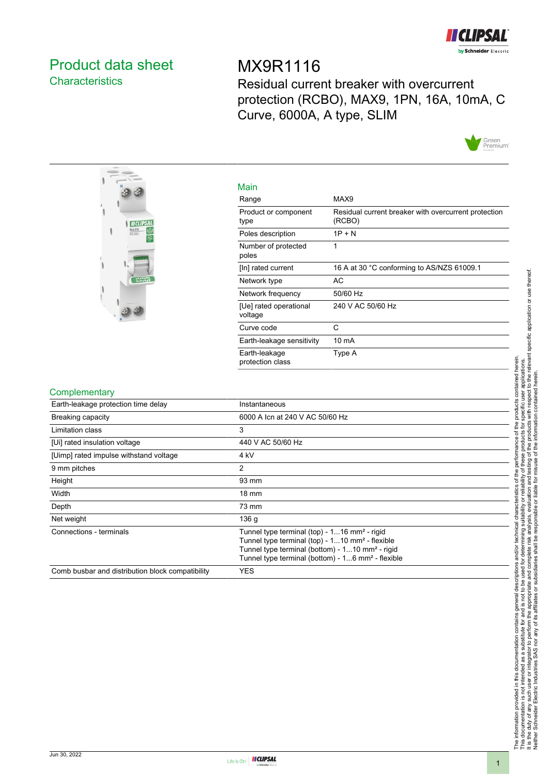

# <span id="page-0-0"></span>Product data sheet **Characteristics**

MX9R1116 Residual current breaker with overcurrent protection (RCBO), MAX9, 1PN, 16A, 10mA, C Curve, 6000A, A type, SLIM





| Main                              |                                                                |
|-----------------------------------|----------------------------------------------------------------|
| Range                             | MAX9                                                           |
| Product or component<br>type      | Residual current breaker with overcurrent protection<br>(RCBO) |
| Poles description                 | $1P + N$                                                       |
| Number of protected<br>poles      | 1                                                              |
| [In] rated current                | 16 A at 30 °C conforming to AS/NZS 61009.1                     |
| Network type                      | АC                                                             |
| Network frequency                 | 50/60 Hz                                                       |
| [Ue] rated operational<br>voltage | 240 V AC 50/60 Hz                                              |
| Curve code                        | C                                                              |
| Earth-leakage sensitivity         | 10 mA                                                          |
| Earth-leakage<br>protection class | Type A                                                         |

### **Complementary**

| "                                                |                                                                                                                                                                                                                                                         |
|--------------------------------------------------|---------------------------------------------------------------------------------------------------------------------------------------------------------------------------------------------------------------------------------------------------------|
| Earth-leakage protection time delay              | Instantaneous                                                                                                                                                                                                                                           |
| <b>Breaking capacity</b>                         | 6000 A Icn at 240 V AC 50/60 Hz                                                                                                                                                                                                                         |
| Limitation class                                 | 3                                                                                                                                                                                                                                                       |
| [Ui] rated insulation voltage                    | 440 V AC 50/60 Hz                                                                                                                                                                                                                                       |
| [Uimp] rated impulse withstand voltage           | 4 kV                                                                                                                                                                                                                                                    |
| 9 mm pitches                                     | 2                                                                                                                                                                                                                                                       |
| Height                                           | 93 mm                                                                                                                                                                                                                                                   |
| Width                                            | $18 \text{ mm}$                                                                                                                                                                                                                                         |
| Depth                                            | 73 mm                                                                                                                                                                                                                                                   |
| Net weight                                       | 136 <sub>g</sub>                                                                                                                                                                                                                                        |
| Connections - terminals                          | Tunnel type terminal (top) - 116 mm <sup>2</sup> - rigid<br>Tunnel type terminal (top) - 110 mm <sup>2</sup> - flexible<br>Tunnel type terminal (bottom) - 110 mm <sup>2</sup> - rigid<br>Tunnel type terminal (bottom) - 16 mm <sup>2</sup> - flexible |
| Comb busbar and distribution block compatibility | <b>YES</b>                                                                                                                                                                                                                                              |